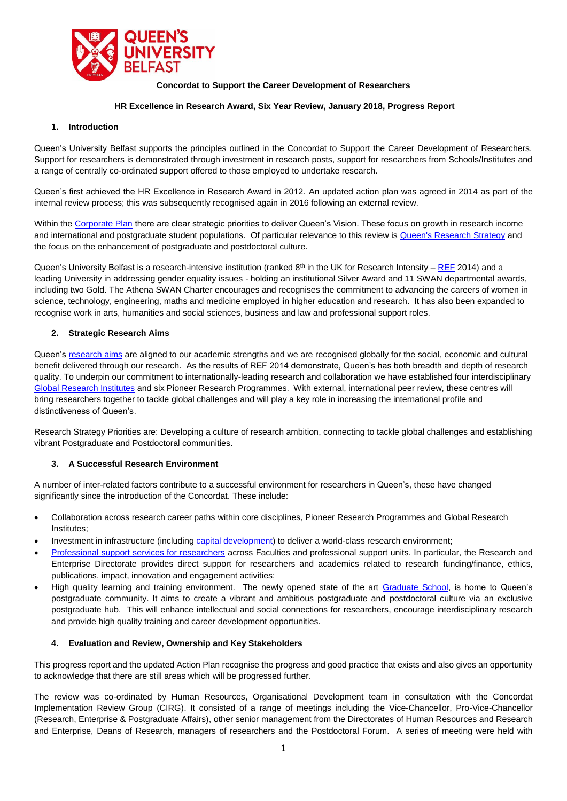

## **Concordat to Support the Career Development of Researchers**

### **HR Excellence in Research Award, Six Year Review, January 2018, Progress Report**

#### **1. Introduction**

Queen's University Belfast supports the principles outlined in the Concordat to Support the Career Development of Researchers. Support for researchers is demonstrated through investment in research posts, support for researchers from Schools/Institutes and a range of centrally co-ordinated support offered to those employed to undertake research.

Queen's first achieved the HR Excellence in Research Award in 2012. An updated action plan was agreed in 2014 as part of the internal review process; this was subsequently recognised again in 2016 following an external review.

Within th[e Corporate Plan](http://www.qub.ac.uk/corporate-plan/) there are clear strategic priorities to deliver Queen's Vision. These focus on growth in research income and international and postgraduate student populations. Of particular relevance to this review is [Queen's Research Strategy](http://www.qub.ac.uk/Research/Our-research/strategy/) and the focus on the enhancement of postgraduate and postdoctoral culture.

Queen's University Belfast is a research-intensive institution (ranked 8<sup>th</sup> in the UK for Research Intensity – [REF](https://www.qub.ac.uk/Research/Our-research/Research-Excellence-Framework-REF/) 2014) and a leading University in addressing gender equality issues - holding an institutional Silver Award and 11 SWAN departmental awards, including two Gold. The Athena SWAN Charter encourages and recognises the commitment to advancing the careers of women in science, technology, engineering, maths and medicine employed in higher education and research. It has also been expanded to recognise work in arts, humanities and social sciences, business and law and professional support roles.

### **2. Strategic Research Aims**

Queen's [research aims](http://www.qub.ac.uk/Research/) are aligned to our academic strengths and we are recognised globally for the social, economic and cultural benefit delivered through our research. As the results of REF 2014 demonstrate, Queen's has both breadth and depth of research quality. To underpin our commitment to internationally-leading research and collaboration we have established four interdisciplinary [Global Research Institutes](http://www.qub.ac.uk/Research/GRI) and six Pioneer Research Programmes. With external, international peer review, these centres will bring researchers together to tackle global challenges and will play a key role in increasing the international profile and distinctiveness of Queen's.

Research Strategy Priorities are: Developing a culture of research ambition, connecting to tackle global challenges and establishing vibrant Postgraduate and Postdoctoral communities.

#### **3. A Successful Research Environment**

A number of inter-related factors contribute to a successful environment for researchers in Queen's, these have changed significantly since the introduction of the Concordat. These include:

- Collaboration across research career paths within core disciplines, Pioneer Research Programmes and Global Research Institutes;
- Investment in infrastructure (including [capital development\)](http://www.qub.ac.uk/directorates/EstatesDirectorate/MajorCapitalDevelopmentProgramme/) to deliver a world-class research environment;
- [Professional support services for researchers](http://www.qub.ac.uk/Research/Support-for-researchers/) across Faculties and professional support units. In particular, the Research and Enterprise Directorate provides direct support for researchers and academics related to research funding/finance, ethics, publications, impact, innovation and engagement activities;
- High quality learning and training environment. The newly opened state of the art [Graduate School,](http://www.qub.ac.uk/graduate-school/) is home to Queen's postgraduate community. It aims to create a vibrant and ambitious postgraduate and postdoctoral culture via an exclusive postgraduate hub. This will enhance intellectual and social connections for researchers, encourage interdisciplinary research and provide high quality training and career development opportunities.

#### **4. Evaluation and Review, Ownership and Key Stakeholders**

This progress report and the updated Action Plan recognise the progress and good practice that exists and also gives an opportunity to acknowledge that there are still areas which will be progressed further.

The review was co-ordinated by Human Resources, Organisational Development team in consultation with the Concordat Implementation Review Group (CIRG). It consisted of a range of meetings including the Vice-Chancellor, Pro-Vice-Chancellor (Research, Enterprise & Postgraduate Affairs), other senior management from the Directorates of Human Resources and Research and Enterprise, Deans of Research, managers of researchers and the Postdoctoral Forum. A series of meeting were held with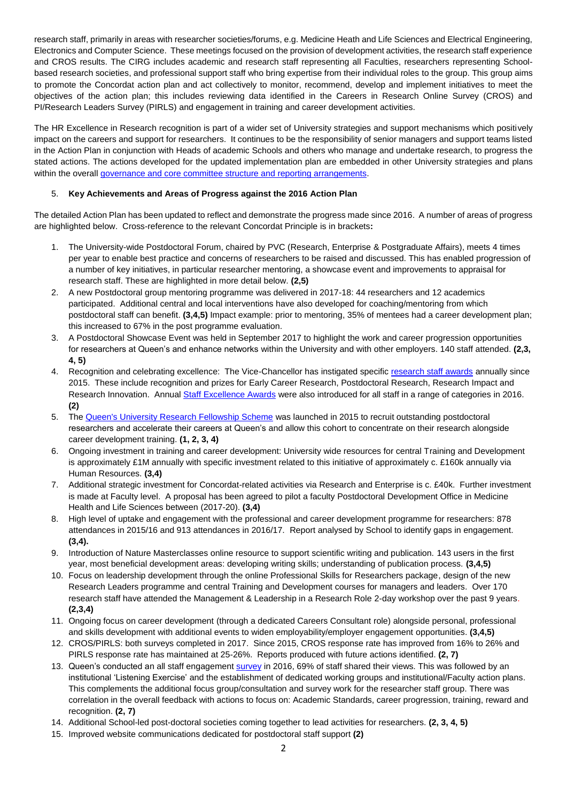research staff, primarily in areas with researcher societies/forums, e.g. Medicine Heath and Life Sciences and Electrical Engineering, Electronics and Computer Science. These meetings focused on the provision of development activities, the research staff experience and CROS results. The CIRG includes academic and research staff representing all Faculties, researchers representing Schoolbased research societies, and professional support staff who bring expertise from their individual roles to the group. This group aims to promote the Concordat action plan and act collectively to monitor, recommend, develop and implement initiatives to meet the objectives of the action plan; this includes reviewing data identified in the Careers in Research Online Survey (CROS) and PI/Research Leaders Survey (PIRLS) and engagement in training and career development activities.

The HR Excellence in Research recognition is part of a wider set of University strategies and support mechanisms which positively impact on the careers and support for researchers. It continues to be the responsibility of senior managers and support teams listed in the Action Plan in conjunction with Heads of academic Schools and others who manage and undertake research, to progress the stated actions. The actions developed for the updated implementation plan are embedded in other University strategies and plans within the overall governance and [core committee structure and reporting arrangements.](http://www.qub.ac.uk/about/Leadership-and-structure/Registrars-Office/University-Governance/Directory-of-Committees/)

# 5. **Key Achievements and Areas of Progress against the 2016 Action Plan**

The detailed Action Plan has been updated to reflect and demonstrate the progress made since 2016. A number of areas of progress are highlighted below. Cross-reference to the relevant Concordat Principle is in brackets**:** 

- 1. The University-wide Postdoctoral Forum, chaired by PVC (Research, Enterprise & Postgraduate Affairs), meets 4 times per year to enable best practice and concerns of researchers to be raised and discussed. This has enabled progression of a number of key initiatives, in particular researcher mentoring, a showcase event and improvements to appraisal for research staff. These are highlighted in more detail below. **(2,5)**
- 2. A new Postdoctoral group mentoring programme was delivered in 2017-18: 44 researchers and 12 academics participated. Additional central and local interventions have also developed for coaching/mentoring from which postdoctoral staff can benefit. **(3,4,5)** Impact example: prior to mentoring, 35% of mentees had a career development plan; this increased to 67% in the post programme evaluation.
- 3. A Postdoctoral Showcase Event was held in September 2017 to highlight the work and career progression opportunities for researchers at Queen's and enhance networks within the University and with other employers. 140 staff attended. **(2,3, 4, 5)**
- 4. Recognition and celebrating excellence: The Vice-Chancellor has instigated specifi[c research staff awards](http://www.qub.ac.uk/Research/News/ViceChancellorsResearchPrizes2016.html) annually since 2015. These include recognition and prizes for Early Career Research, Postdoctoral Research, Research Impact and Research Innovation. Annua[l Staff Excellence Awards](http://www.qub.ac.uk/sites/StaffGateway/StaffInitiatives/StaffExcellenceAwards/AwardCategories/) were also introduced for all staff in a range of categories in 2016. **(2)**
- 5. The [Queen's University Research Fellowship Scheme](http://www.qub.ac.uk/Research/Our-research/Queens-University-Research-Fellowship) was launched in 2015 to recruit outstanding postdoctoral researchers and accelerate their careers at Queen's and allow this cohort to concentrate on their research alongside career development training. **(1, 2, 3, 4)**
- 6. Ongoing investment in training and career development: University wide resources for central Training and Development is approximately £1M annually with specific investment related to this initiative of approximately c. £160k annually via Human Resources. **(3,4)**
- 7. Additional strategic investment for Concordat-related activities via Research and Enterprise is c. £40k. Further investment is made at Faculty level. A proposal has been agreed to pilot a faculty Postdoctoral Development Office in Medicine Health and Life Sciences between (2017-20). **(3,4)**
- 8. High level of uptake and engagement with the professional and career development programme for researchers: 878 attendances in 2015/16 and 913 attendances in 2016/17. Report analysed by School to identify gaps in engagement. **(3,4).**
- 9. Introduction of Nature Masterclasses online resource to support scientific writing and publication. 143 users in the first year, most beneficial development areas: developing writing skills; understanding of publication process. **(3,4,5)**
- 10. Focus on leadership development through the online Professional Skills for Researchers package, design of the new Research Leaders programme and central Training and Development courses for managers and leaders. Over 170 research staff have attended the Management & Leadership in a Research Role 2-day workshop over the past 9 years. **(2,3,4)**
- 11. Ongoing focus on career development (through a dedicated Careers Consultant role) alongside personal, professional and skills development with additional events to widen employability/employer engagement opportunities. **(3,4,5)**
- 12. CROS/PIRLS: both surveys completed in 2017. Since 2015, CROS response rate has improved from 16% to 26% and PIRLS response rate has maintained at 25-26%. Reports produced with future actions identified. **(2, 7)**
- 13. Queen's conducted an all staff engagement [survey](https://www.qub.ac.uk/sites/StaffGateway/StaffInitiatives/StaffSurvey/) in 2016, 69% of staff shared their views. This was followed by an institutional 'Listening Exercise' and the establishment of dedicated working groups and institutional/Faculty action plans. This complements the additional focus group/consultation and survey work for the researcher staff group. There was correlation in the overall feedback with actions to focus on: Academic Standards, career progression, training, reward and recognition. **(2, 7)**
- 14. Additional School-led post-doctoral societies coming together to lead activities for researchers. **(2, 3, 4, 5)**
- 15. Improved website communications dedicated for postdoctoral staff support **(2)**